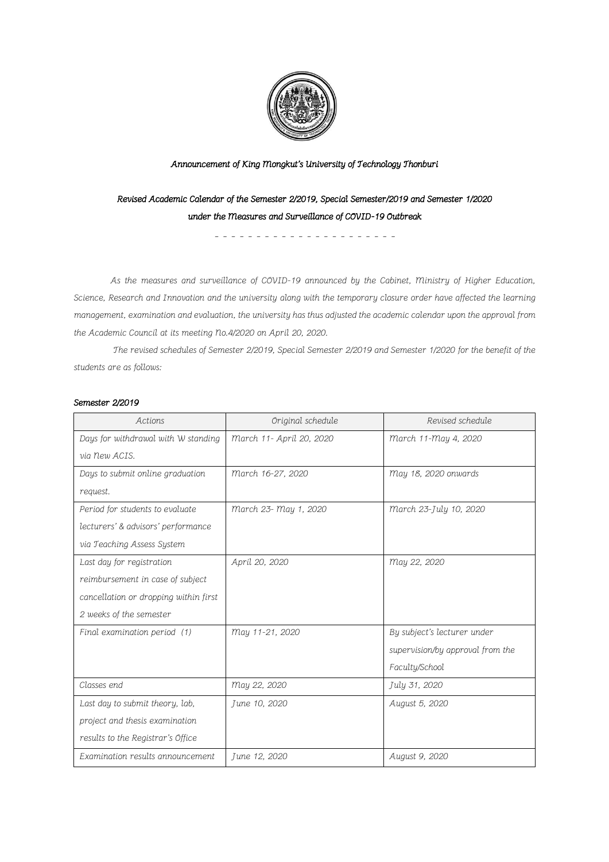

## Announcement of King Mongkut's University of Technology Thonburi

Revised Academic Calendar of the Semester 2/2019, Special Semester/2019 and Semester 1/2020 under the Measures and Surveillance of COVID-19 Outbreak

- - - - - - - - - - - - - - - - - - - - - -

As the measures and surveillance of COVID-19 announced by the Cabinet, Ministry of Higher Education, Science, Research and Innovation and the university along with the temporary closure order have affected the learning management, examination and evaluation, the university has thus adjusted the academic calendar upon the approval from the Academic Council at its meeting No.4/2020 on April 20, 2020.

The revised schedules of Semester 2/2019, Special Semester 2/2019 and Semester 1/2020 for the benefit of the students are as follows:

## Semester 2/2019

| Actions                               | Original schedule        | Revised schedule                 |
|---------------------------------------|--------------------------|----------------------------------|
| Days for withdrawal with W standing   | March 11- April 20, 2020 | march 11-may 4, 2020             |
| via new ACIS.                         |                          |                                  |
| Days to submit online graduation      | March 16-27, 2020        | May 18, 2020 onwards             |
| request.                              |                          |                                  |
| Period for students to evaluate       | March 23- May 1, 2020    | March 23-July 10, 2020           |
| lecturers' & advisors' performance    |                          |                                  |
| via Teaching Assess System            |                          |                                  |
| Last day for registration             | April 20, 2020           | May 22, 2020                     |
| reimbursement in case of subject      |                          |                                  |
| cancellation or dropping within first |                          |                                  |
| 2 weeks of the semester               |                          |                                  |
| Final examination period (1)          | May 11-21, 2020          | By subject's lecturer under      |
|                                       |                          | supervision/by approval from the |
|                                       |                          | Faculty/School                   |
| Classes end                           | May 22, 2020             | July 31, 2020                    |
| Last day to submit theory, lab,       | June 10, 2020            | August 5, 2020                   |
| project and thesis examination        |                          |                                  |
| results to the Registrar's Office     |                          |                                  |
| Examination results announcement      | June 12, 2020            | August 9, 2020                   |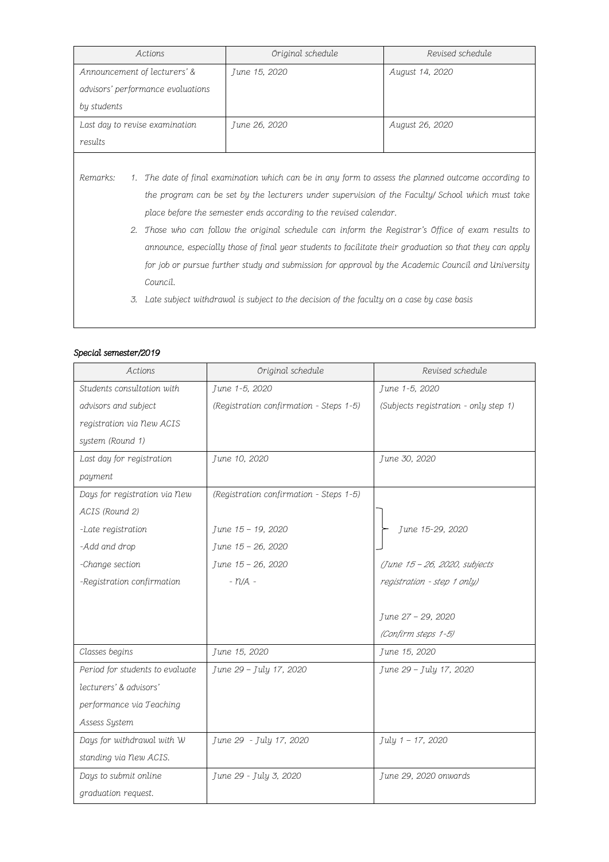| Actions                           | Original schedule | Revised schedule |
|-----------------------------------|-------------------|------------------|
| Announcement of lecturers' &      | June 15, 2020     | August 14, 2020  |
| advisors' performance evaluations |                   |                  |
| by students                       |                   |                  |
| Last day to revise examination    | June 26, 2020     | August 26, 2020  |
| results                           |                   |                  |

Remarks: 1. The date of final examination which can be in any form to assess the planned outcome according to the program can be set by the lecturers under supervision of the Faculty/ School which must take place before the semester ends according to the revised calendar.

- 2. Those who can follow the original schedule can inform the Registrar's Office of exam results to announce, especially those of final year students to facilitate their graduation so that they can apply for job or pursue further study and submission for approval by the Academic Council and University Council.
- 3. Late subject withdrawal is subject to the decision of the faculty on a case by case basis

## Special semester/2019

| Actions                         | Original schedule                       | Revised schedule                      |
|---------------------------------|-----------------------------------------|---------------------------------------|
| Students consultation with      | June 1-5, 2020                          | June 1-5, 2020                        |
| advisors and subject            | (Registration confirmation - Steps 1-5) | (Subjects registration - only step 1) |
| registration via New ACIS       |                                         |                                       |
| system (Round 1)                |                                         |                                       |
| Last day for registration       | June 10, 2020                           | June 30, 2020                         |
| payment                         |                                         |                                       |
| Days for registration via New   | (Registration confirmation - Steps 1-5) |                                       |
| ACIS (Round 2)                  |                                         |                                       |
| -Late registration              | June 15 - 19, 2020                      | June 15-29, 2020                      |
| -Add and drop                   | June 15 - 26, 2020                      |                                       |
| -Change section                 | June 15 - 26, 2020                      | (June 15 - 26, 2020, subjects         |
| -Registration confirmation      | $- n/A -$                               | registration - step 1 only)           |
|                                 |                                         |                                       |
|                                 |                                         | June 27 - 29, 2020                    |
|                                 |                                         | (Confirm steps 1-5)                   |
| Classes begins                  | June 15, 2020                           | June 15, 2020                         |
| Period for students to evaluate | June 29 - July 17, 2020                 | June 29 - July 17, 2020               |
| lecturers' & advisors'          |                                         |                                       |
| performance via Teaching        |                                         |                                       |
| Assess System                   |                                         |                                       |
| Days for withdrawal with W      | June 29 - July 17, 2020                 | July 1 - 17, 2020                     |
| standing via New ACIS.          |                                         |                                       |
| Days to submit online           | June 29 - July 3, 2020                  | June 29, 2020 onwards                 |
| graduation request.             |                                         |                                       |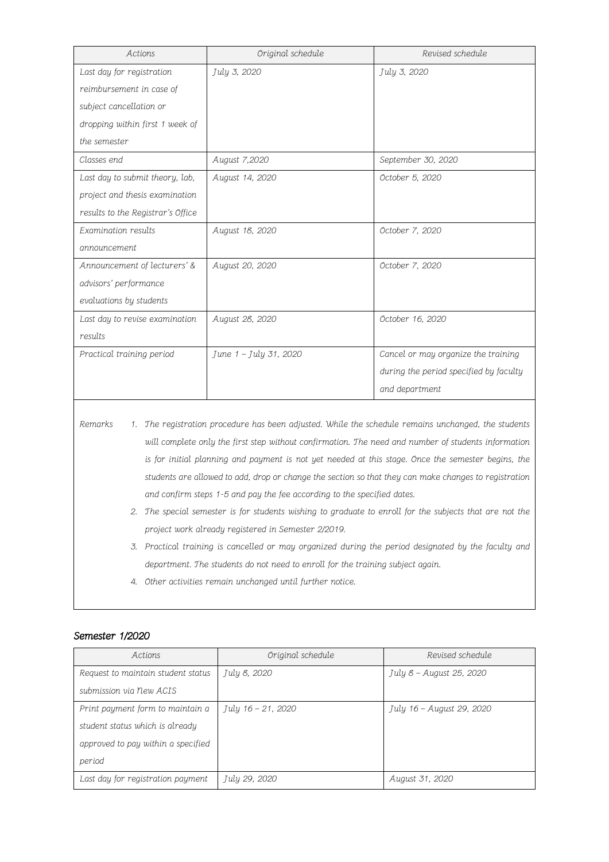| Actions                           | Original schedule      | Revised schedule                       |
|-----------------------------------|------------------------|----------------------------------------|
| Last day for registration         | July 3, 2020           | July 3, 2020                           |
| reimbursement in case of          |                        |                                        |
| subject cancellation or           |                        |                                        |
| dropping within first 1 week of   |                        |                                        |
| the semester                      |                        |                                        |
| Classes end                       | August 7,2020          | September 30, 2020                     |
| Last day to submit theory, lab,   | August 14, 2020        | October 5, 2020                        |
| project and thesis examination    |                        |                                        |
| results to the Registrar's Office |                        |                                        |
| Examination results               | August 18, 2020        | October 7, 2020                        |
| announcement                      |                        |                                        |
| Announcement of lecturers' &      | August 20, 2020        | October 7, 2020                        |
| advisors' performance             |                        |                                        |
| evaluations by students           |                        |                                        |
| Last day to revise examination    | August 28, 2020        | October 16, 2020                       |
| results                           |                        |                                        |
| Practical training period         | June 1 - July 31, 2020 | Cancel or may organize the training    |
|                                   |                        | during the period specified by faculty |
|                                   |                        | and department                         |

- Remarks 1. The registration procedure has been adjusted. While the schedule remains unchanged, the students will complete only the first step without confirmation. The need and number of students information is for initial planning and payment is not yet needed at this stage. Once the semester begins, the students are allowed to add, drop or change the section so that they can make changes to registration and confirm steps 1-5 and pay the fee according to the specified dates.
	- 2. The special semester is for students wishing to graduate to enroll for the subjects that are not the project work already registered in Semester 2/2019.
	- 3. Practical training is cancelled or may organized during the period designated by the faculty and department. The students do not need to enroll for the training subject again.
	- 4. Other activities remain unchanged until further notice.

## Semester 1/2020

| Actions                            | Original schedule  | Revised schedule          |
|------------------------------------|--------------------|---------------------------|
| Request to maintain student status | July 8, 2020       | July 8 - August 25, 2020  |
| submission via New ACIS            |                    |                           |
| Print payment form to maintain a   | July 16 – 21, 2020 | July 16 – August 29, 2020 |
| student status which is already    |                    |                           |
| approved to pay within a specified |                    |                           |
| period                             |                    |                           |
| Last day for registration payment  | July 29, 2020      | August 31, 2020           |